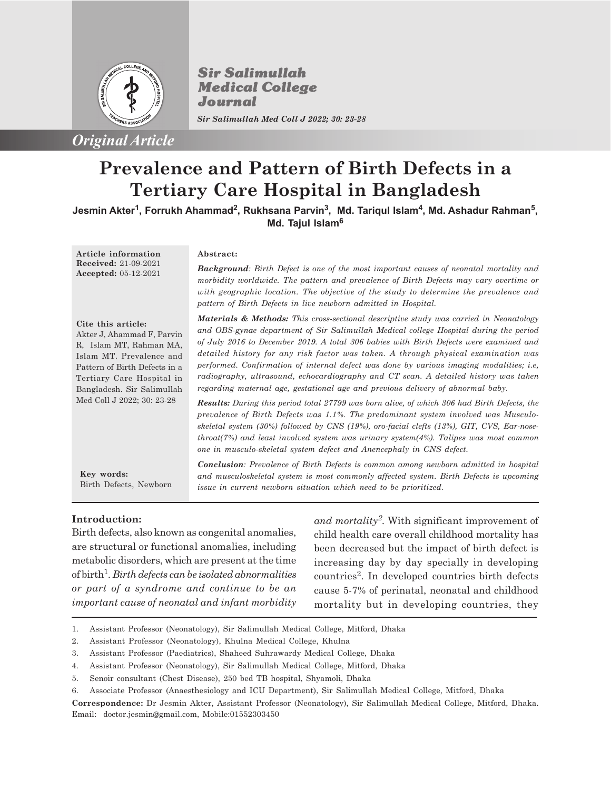

**Sir Salimullah Medical College** Journal

*Sir Salimullah Med Coll J 2022; 30: 23-28*

# **Prevalence and Pattern of Birth Defects in a Tertiary Care Hospital in Bangladesh**

**Jesmin Akter<sup>1</sup> , Forrukh Ahammad<sup>2</sup> , Rukhsana Parvin<sup>3</sup> , Md. Tariqul Islam<sup>4</sup> , Md. Ashadur Rahman<sup>5</sup> , Md. Tajul Islam<sup>6</sup>**

**Article information Received:** 21-09-2021 **Accepted:** 05-12-2021

## **Abstract:**

*Background: Birth Defect is one of the most important causes of neonatal mortality and morbidity worldwide. The pattern and prevalence of Birth Defects may vary overtime or with geographic location. The objective of the study to determine the prevalence and pattern of Birth Defects in live newborn admitted in Hospital.*

#### **Cite this article:**

Akter J, Ahammad F, Parvin R, Islam MT, Rahman MA, Islam MT. Prevalence and Pattern of Birth Defects in a Tertiary Care Hospital in Bangladesh. Sir Salimullah Med Coll J 2022; 30: 23-28

*Materials & Methods: This cross-sectional descriptive study was carried in Neonatology and OBS-gynae department of Sir Salimullah Medical college Hospital during the period of July 2016 to December 2019. A total 306 babies with Birth Defects were examined and detailed history for any risk factor was taken. A through physical examination was performed. Confirmation of internal defect was done by various imaging modalities; i.e, radiography, ultrasound, echocardiography and CT scan. A detailed history was taken regarding maternal age, gestational age and previous delivery of abnormal baby.*

*Results: During this period total 27799 was born alive, of which 306 had Birth Defects, the prevalence of Birth Defects was 1.1%. The predominant system involved was Musculoskeletal system (30%) followed by CNS (19%), oro-facial clefts (13%), GIT, CVS, Ear-nosethroat(7%) and least involved system was urinary system(4%). Talipes was most common one in musculo-skeletal system defect and Anencephaly in CNS defect.*

**Key words:** Birth Defects, Newborn *Conclusion: Prevalence of Birth Defects is common among newborn admitted in hospital and musculoskeletal system is most commonly affected system. Birth Defects is upcoming issue in current newborn situation which need to be prioritized.*

## **Introduction:**

Birth defects, also known as congenital anomalies, are structural or functional anomalies, including metabolic disorders, which are present at the time of birth<sup>1</sup> . *Birth defects can be isolated abnormalities or part of a syndrome and continue to be an important cause of neonatal and infant morbidity*

*and mortality<sup>2</sup> .* With significant improvement of child health care overall childhood mortality has been decreased but the impact of birth defect is increasing day by day specially in developing countries<sup>2</sup>. In developed countries birth defects cause 5-7% of perinatal, neonatal and childhood mortality but in developing countries, they

- 1. Assistant Professor (Neonatology), Sir Salimullah Medical College, Mitford, Dhaka
- 2. Assistant Professor (Neonatology), Khulna Medical College, Khulna
- 3. Assistant Professor (Paediatrics), Shaheed Suhrawardy Medical College, Dhaka
- 4. Assistant Professor (Neonatology), Sir Salimullah Medical College, Mitford, Dhaka
- 5. Senoir consultant (Chest Disease), 250 bed TB hospital, Shyamoli, Dhaka
- 6. Associate Professor (Anaesthesiology and ICU Department), Sir Salimullah Medical College, Mitford, Dhaka

**Correspondence:** Dr Jesmin Akter, Assistant Professor (Neonatology), Sir Salimullah Medical College, Mitford, Dhaka. Email: doctor.jesmin@gmail.com, Mobile:01552303450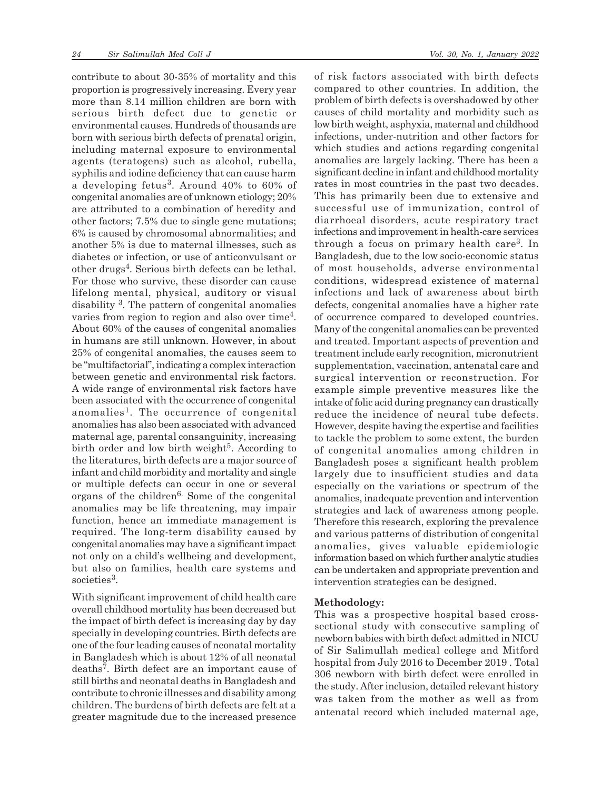contribute to about 30-35% of mortality and this proportion is progressively increasing. Every year more than 8.14 million children are born with serious birth defect due to genetic or environmental causes. Hundreds of thousands are born with serious birth defects of prenatal origin, including maternal exposure to environmental agents (teratogens) such as alcohol, rubella, syphilis and iodine deficiency that can cause harm a developing fetus<sup>3</sup>. Around 40% to 60% of congenital anomalies are of unknown etiology; 20% are attributed to a combination of heredity and other factors; 7.5% due to single gene mutations; 6% is caused by chromosomal abnormalities; and another 5% is due to maternal illnesses, such as diabetes or infection, or use of anticonvulsant or other drugs<sup>4</sup> . Serious birth defects can be lethal. For those who survive, these disorder can cause lifelong mental, physical, auditory or visual disability <sup>3</sup> . The pattern of congenital anomalies varies from region to region and also over time<sup>4</sup>. About 60% of the causes of congenital anomalies in humans are still unknown. However, in about 25% of congenital anomalies, the causes seem to be "multifactorial", indicating a complex interaction between genetic and environmental risk factors. A wide range of environmental risk factors have been associated with the occurrence of congenital anomalies<sup>1</sup>. The occurrence of congenital anomalies has also been associated with advanced maternal age, parental consanguinity, increasing birth order and low birth weight<sup>5</sup>. According to the literatures, birth defects are a major source of infant and child morbidity and mortality and single or multiple defects can occur in one or several organs of the children<sup>6.</sup> Some of the congenital anomalies may be life threatening, may impair function, hence an immediate management is required. The long-term disability caused by congenital anomalies may have a significant impact not only on a child's wellbeing and development, but also on families, health care systems and societies<sup>3</sup>.

With significant improvement of child health care overall childhood mortality has been decreased but the impact of birth defect is increasing day by day specially in developing countries. Birth defects are one of the four leading causes of neonatal mortality in Bangladesh which is about 12% of all neonatal deaths<sup>7</sup> . Birth defect are an important cause of still births and neonatal deaths in Bangladesh and contribute to chronic illnesses and disability among children. The burdens of birth defects are felt at a greater magnitude due to the increased presence of risk factors associated with birth defects compared to other countries. In addition, the problem of birth defects is overshadowed by other causes of child mortality and morbidity such as low birth weight, asphyxia, maternal and childhood infections, under-nutrition and other factors for which studies and actions regarding congenital anomalies are largely lacking. There has been a significant decline in infant and childhood mortality rates in most countries in the past two decades. This has primarily been due to extensive and successful use of immunization, control of diarrhoeal disorders, acute respiratory tract infections and improvement in health-care services through a focus on primary health care<sup>3</sup>. In Bangladesh, due to the low socio-economic status of most households, adverse environmental conditions, widespread existence of maternal infections and lack of awareness about birth defects, congenital anomalies have a higher rate of occurrence compared to developed countries. Many of the congenital anomalies can be prevented and treated. Important aspects of prevention and treatment include early recognition, micronutrient supplementation, vaccination, antenatal care and surgical intervention or reconstruction. For example simple preventive measures like the intake of folic acid during pregnancy can drastically reduce the incidence of neural tube defects. However, despite having the expertise and facilities to tackle the problem to some extent, the burden of congenital anomalies among children in Bangladesh poses a significant health problem largely due to insufficient studies and data especially on the variations or spectrum of the anomalies, inadequate prevention and intervention strategies and lack of awareness among people. Therefore this research, exploring the prevalence and various patterns of distribution of congenital anomalies, gives valuable epidemiologic information based on which further analytic studies can be undertaken and appropriate prevention and intervention strategies can be designed.

### **Methodology:**

This was a prospective hospital based crosssectional study with consecutive sampling of newborn babies with birth defect admitted in NICU of Sir Salimullah medical college and Mitford hospital from July 2016 to December 2019 . Total 306 newborn with birth defect were enrolled in the study. After inclusion, detailed relevant history was taken from the mother as well as from antenatal record which included maternal age,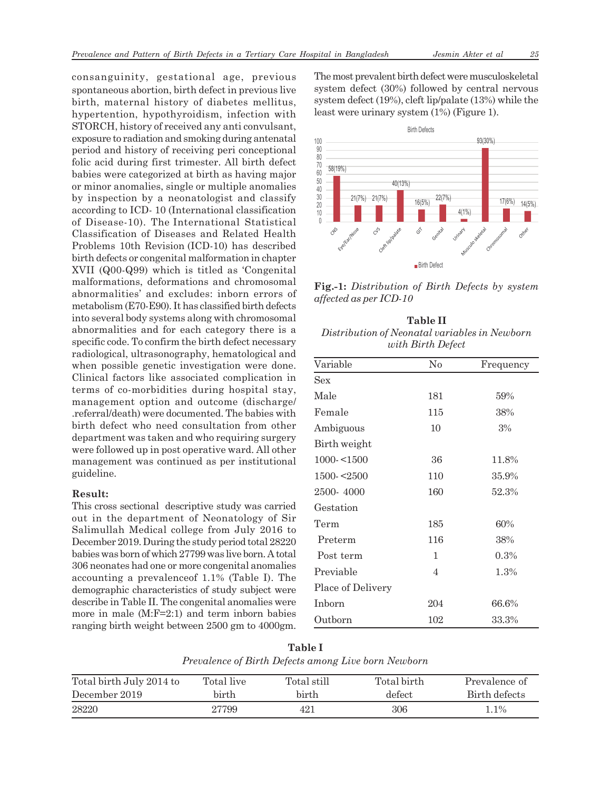consanguinity, gestational age, previous spontaneous abortion, birth defect in previous live birth, maternal history of diabetes mellitus, hypertention, hypothyroidism, infection with STORCH, history of received any anti convulsant, exposure to radiation and smoking during antenatal period and history of receiving peri conceptional folic acid during first trimester. All birth defect babies were categorized at birth as having major or minor anomalies, single or multiple anomalies by inspection by a neonatologist and classify according to ICD- 10 (International classification of Disease-10). The International Statistical Classification of Diseases and Related Health Problems 10th Revision (ICD-10) has described birth defects or congenital malformation in chapter XVII (Q00-Q99) which is titled as 'Congenital malformations, deformations and chromosomal abnormalities' and excludes: inborn errors of metabolism (E70-E90). It has classified birth defects into several body systems along with chromosomal abnormalities and for each category there is a specific code. To confirm the birth defect necessary radiological, ultrasonography, hematological and when possible genetic investigation were done. Clinical factors like associated complication in terms of co-morbidities during hospital stay, management option and outcome (discharge/ .referral/death) were documented. The babies with birth defect who need consultation from other department was taken and who requiring surgery were followed up in post operative ward. All other management was continued as per institutional guideline.

## **Result:**

This cross sectional descriptive study was carried out in the department of Neonatology of Sir Salimullah Medical college from July 2016 to December 2019. During the study period total 28220 babies was born of which 27799 was live born. A total 306 neonates had one or more congenital anomalies accounting a prevalenceof 1.1% (Table I). The demographic characteristics of study subject were describe in Table II. The congenital anomalies were more in male (M:F=2:1) and term inborn babies ranging birth weight between 2500 gm to 4000gm. The most prevalent birth defect were musculoskeletal system defect (30%) followed by central nervous system defect (19%), cleft lip/palate (13%) while the least were urinary system (1%) (Figure 1).



**Fig.-1:** *Distribution of Birth Defects by system affected as per ICD-10*

| <b>Table II</b>                               |
|-----------------------------------------------|
| Distribution of Neonatal variables in Newborn |
| with Birth Defect                             |

| Variable          | $\rm No$ | Frequency |
|-------------------|----------|-----------|
| Sex               |          |           |
| Male              | 181      | 59%       |
| Female            | 115      | 38%       |
| Ambiguous         | 10       | 3%        |
| Birth weight      |          |           |
| $1000 - 1500$     | 36       | 11.8%     |
| $1500 - 2500$     | 110      | 35.9%     |
| 2500-4000         | 160      | 52.3%     |
| Gestation         |          |           |
| Term              | 185      | 60%       |
| Preterm           | 116      | 38%       |
| Post term         | 1        | 0.3%      |
| Previable         | 4        | 1.3%      |
| Place of Delivery |          |           |
| Inborn            | 204      | 66.6%     |
| Outborn           | 102      | 33.3%     |

**Table I** *Prevalence of Birth Defects among Live born Newborn*

| Total birth July 2014 to | Total live | Total still | Total birth- | Prevalence of  |
|--------------------------|------------|-------------|--------------|----------------|
| December 2019            | birth      | birth       | defect       | Birth defects  |
| 28220                    | 27799      | 421         | 306          | $^{\circ}$ .1% |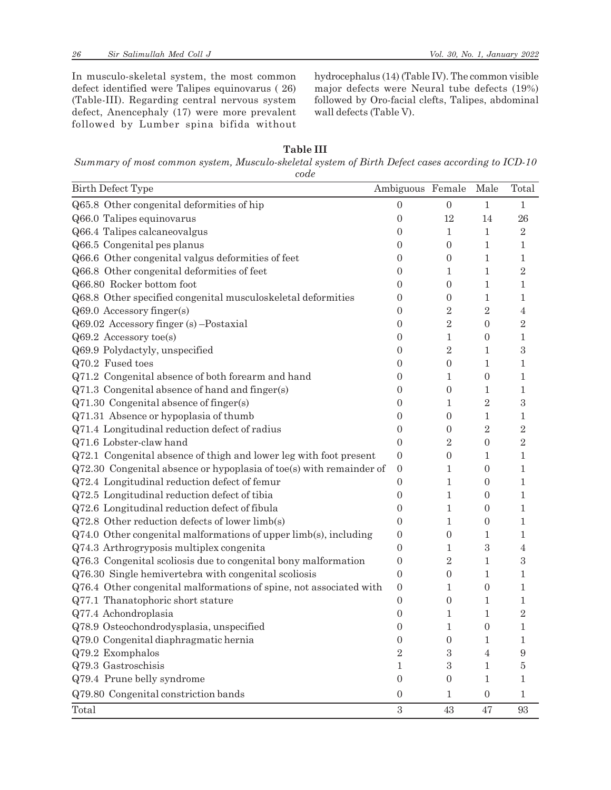In musculo-skeletal system, the most common defect identified were Talipes equinovarus ( 26) (Table-III). Regarding central nervous system defect, Anencephaly (17) were more prevalent followed by Lumber spina bifida without

hydrocephalus (14) (Table IV). The common visible major defects were Neural tube defects (19%) followed by Oro-facial clefts, Talipes, abdominal wall defects (Table V).

| anıe |
|------|
|------|

*Summary of most common system, Musculo-skeletal system of Birth Defect cases according to ICD-10 code*

| <b>Birth Defect Type</b>                                              | Ambiguous Female |                  | Male                    | Total                   |
|-----------------------------------------------------------------------|------------------|------------------|-------------------------|-------------------------|
| Q65.8 Other congenital deformities of hip                             | $\overline{0}$   | $\overline{0}$   | $\mathbf{1}$            | $\mathbf{1}$            |
| Q66.0 Talipes equinovarus                                             | $\boldsymbol{0}$ | 12               | 14                      | 26                      |
| Q66.4 Talipes calcaneovalgus                                          | $\overline{0}$   | 1                | $\mathbf{1}$            | $\overline{2}$          |
| Q66.5 Congenital pes planus                                           | $\overline{0}$   | $\boldsymbol{0}$ | 1                       | 1                       |
| Q66.6 Other congenital valgus deformities of feet                     | $\theta$         | $\overline{0}$   | 1                       | 1                       |
| Q66.8 Other congenital deformities of feet                            | 0                | 1                | 1                       | $\overline{\mathbf{2}}$ |
| Q66.80 Rocker bottom foot                                             | 0                | 0                | 1                       | 1                       |
| Q68.8 Other specified congenital musculoskeletal deformities          | 0                | 0                | 1                       | 1                       |
| Q69.0 Accessory finger(s)                                             | $\overline{0}$   | $\overline{2}$   | $\overline{\mathbf{2}}$ | 4                       |
| Q69.02 Accessory finger (s) -Postaxial                                | 0                | $\overline{2}$   | 0                       | $\rm{2}$                |
| $Q69.2$ Accessory toe(s)                                              | 0                | 1                | 0                       | 1                       |
| Q69.9 Polydactyly, unspecified                                        | 0                | $\overline{2}$   | 1                       | 3                       |
| Q70.2 Fused toes                                                      | 0                | $\boldsymbol{0}$ | 1                       | 1                       |
| Q71.2 Congenital absence of both forearm and hand                     | $\overline{0}$   | 1                | $\boldsymbol{0}$        | 1                       |
| Q71.3 Congenital absence of hand and finger(s)                        | $\theta$         | $\overline{0}$   | 1                       | 1                       |
| Q71.30 Congenital absence of finger(s)                                | 0                | 1                | $\overline{\mathbf{2}}$ | 3                       |
| Q71.31 Absence or hypoplasia of thumb                                 | 0                | $\boldsymbol{0}$ | 1                       | 1                       |
| Q71.4 Longitudinal reduction defect of radius                         | $\overline{0}$   | 0                | $\overline{2}$          | $\overline{2}$          |
| Q71.6 Lobster-claw hand                                               | $\boldsymbol{0}$ | $\overline{2}$   | $\boldsymbol{0}$        | $\overline{2}$          |
| Q72.1 Congenital absence of thigh and lower leg with foot present     | $\boldsymbol{0}$ | $\boldsymbol{0}$ | 1                       | 1                       |
| $Q72.30$ Congenital absence or hypoplasia of toe(s) with remainder of | $\boldsymbol{0}$ | 1                | 0                       | 1                       |
| Q72.4 Longitudinal reduction defect of femur                          | $\boldsymbol{0}$ | 1                | 0                       | 1                       |
| Q72.5 Longitudinal reduction defect of tibia                          | $\overline{0}$   | 1                | 0                       | 1                       |
| Q72.6 Longitudinal reduction defect of fibula                         | $\overline{0}$   | 1                | 0                       | 1                       |
| Q72.8 Other reduction defects of lower limb(s)                        | 0                | 1                | 0                       | 1                       |
| Q74.0 Other congenital malformations of upper limb(s), including      | $\boldsymbol{0}$ | $\boldsymbol{0}$ | 1                       | 1                       |
| Q74.3 Arthrogryposis multiplex congenita                              | $\boldsymbol{0}$ | 1                | 3                       | 4                       |
| Q76.3 Congenital scoliosis due to congenital bony malformation        | $\boldsymbol{0}$ | $\overline{2}$   | 1                       | 3                       |
| Q76.30 Single hemivertebra with congenital scoliosis                  | $\boldsymbol{0}$ | $\boldsymbol{0}$ | 1                       | 1                       |
| Q76.4 Other congenital malformations of spine, not associated with    | $\mathbf{0}$     | 1                | 0                       | 1                       |
| Q77.1 Thanatophoric short stature                                     | $\boldsymbol{0}$ | 0                | 1                       | 1                       |
| Q77.4 Achondroplasia                                                  | $\boldsymbol{0}$ | 1                | $\mathbf{1}$            | $\overline{2}$          |
| Q78.9 Osteochondrodysplasia, unspecified                              | $\boldsymbol{0}$ | 1                | $\boldsymbol{0}$        |                         |
| Q79.0 Congenital diaphragmatic hernia                                 | $\boldsymbol{0}$ | $\boldsymbol{0}$ | 1                       | 1                       |
| Q79.2 Exomphalos                                                      | $\overline{2}$   | 3                | 4                       | 9                       |
| Q79.3 Gastroschisis                                                   | 1                | 3                | 1                       | 5                       |
| Q79.4 Prune belly syndrome                                            | $\boldsymbol{0}$ | 0                | 1                       | 1                       |
| Q79.80 Congenital constriction bands                                  | $\boldsymbol{0}$ | 1                | $\boldsymbol{0}$        | 1                       |
| Total                                                                 | 3                | 43               | 47                      | 93                      |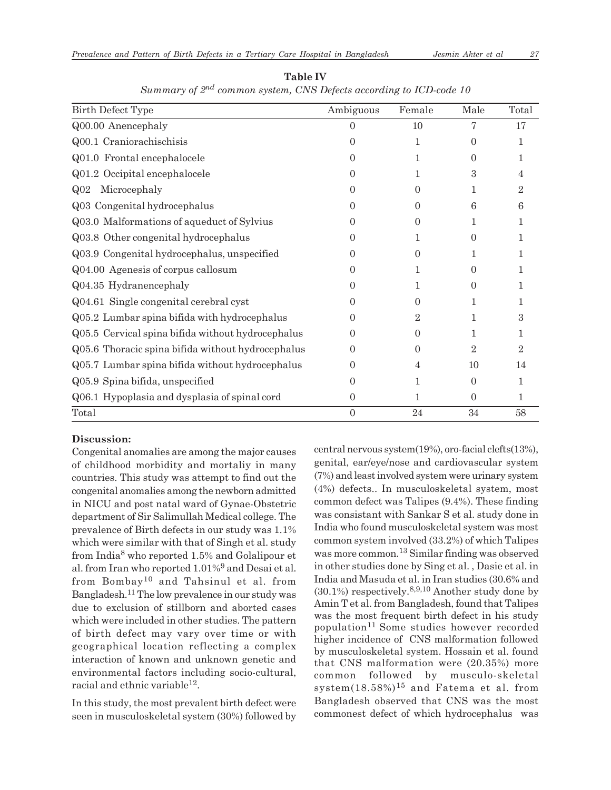| <b>Birth Defect Type</b>                          | Ambiguous        | Female   | Male                    | Total          |
|---------------------------------------------------|------------------|----------|-------------------------|----------------|
| Q00.00 Anencephaly                                | 0                | 10       | 7                       | 17             |
| Q00.1 Craniorachischisis                          | $\mathbf{0}$     | 1        | 0                       | 1              |
| Q01.0 Frontal encephalocele                       | $\left( \right)$ | 1        | $\Omega$                | 1              |
| Q01.2 Occipital encephalocele                     | 0                | 1        | 3                       | 4              |
| Microcephaly<br>Q <sub>02</sub>                   | 0                | 0        | 1                       | 2              |
| Q03 Congenital hydrocephalus                      | $\left( \right)$ | $\Omega$ | 6                       | 6              |
| Q03.0 Malformations of aqueduct of Sylvius        | $\left( \right)$ | $\Omega$ | 1                       | 1              |
| Q03.8 Other congenital hydrocephalus              | 0                | 1        | 0                       | 1              |
| Q03.9 Congenital hydrocephalus, unspecified       | $\mathbf{0}$     | 0        | 1                       | 1              |
| Q04.00 Agenesis of corpus callosum                | $\left( \right)$ | 1        | $\Omega$                | 1              |
| Q04.35 Hydranencephaly                            | $\mathbf{0}$     | 1        | $\Omega$                |                |
| Q04.61 Single congenital cerebral cyst            | $\left( \right)$ | 0        | 1                       | 1              |
| Q05.2 Lumbar spina bifida with hydrocephalus      | $\left( \right)$ | 2        | 1                       | З              |
| Q05.5 Cervical spina bifida without hydrocephalus | $\left( \right)$ | $\theta$ | 1                       | 1              |
| Q05.6 Thoracic spina bifida without hydrocephalus | $\left( \right)$ | 0        | $\overline{\mathbf{2}}$ | $\overline{2}$ |
| Q05.7 Lumbar spina bifida without hydrocephalus   | $\left( \right)$ | 4        | 10                      | 14             |
| Q05.9 Spina bifida, unspecified                   | $\mathbf{0}$     | 1        | $\boldsymbol{0}$        | 1              |
| Q06.1 Hypoplasia and dysplasia of spinal cord     | $\Omega$         | 1        | $\overline{0}$          | 1              |
| Total                                             | $\Omega$         | 24       | 34                      | 58             |

**Table IV** *Summary of 2nd common system, CNS Defects according to ICD-code 10*

## **Discussion:**

Congenital anomalies are among the major causes of childhood morbidity and mortaliy in many countries. This study was attempt to find out the congenital anomalies among the newborn admitted in NICU and post natal ward of Gynae-Obstetric department of Sir Salimullah Medical college. The prevalence of Birth defects in our study was 1.1% which were similar with that of Singh et al. study from India<sup>8</sup> who reported 1.5% and Golalipour et al. from Iran who reported 1.01%<sup>9</sup> and Desai et al. from Bombay10 and Tahsinul et al. from Bangladesh.11 The low prevalence in our study was due to exclusion of stillborn and aborted cases which were included in other studies. The pattern of birth defect may vary over time or with geographical location reflecting a complex interaction of known and unknown genetic and environmental factors including socio-cultural, racial and ethnic variable $^{12}$ .

In this study, the most prevalent birth defect were seen in musculoskeletal system (30%) followed by central nervous system(19%), oro-facial clefts(13%), genital, ear/eye/nose and cardiovascular system (7%) and least involved system were urinary system (4%) defects.. In musculoskeletal system, most common defect was Talipes (9.4%). These finding was consistant with Sankar S et al. study done in India who found musculoskeletal system was most common system involved (33.2%) of which Talipes was more common.13 Similar finding was observed in other studies done by Sing et al. , Dasie et al. in India and Masuda et al. in Iran studies (30.6% and  $(30.1\%)$  respectively.<sup>8,9,10</sup> Another study done by Amin T et al. from Bangladesh, found that Talipes was the most frequent birth defect in his study population<sup>11</sup> Some studies however recorded higher incidence of CNS malformation followed by musculoskeletal system. Hossain et al. found that CNS malformation were (20.35%) more common followed by musculo-skeletal system $(18.58\%)$ <sup>15</sup> and Fatema et al. from Bangladesh observed that CNS was the most commonest defect of which hydrocephalus was